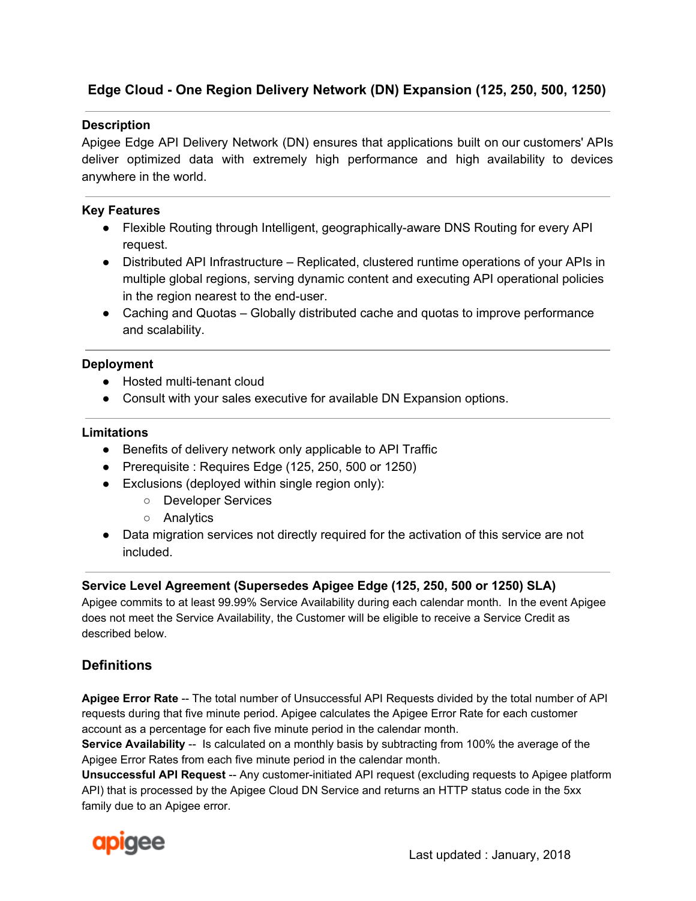# **Edge Cloud - One Region Delivery Network (DN) Expansion (125, 250, 500, 1250)**

## **Description**

Apigee Edge API Delivery Network (DN) ensures that applications built on our customers' APIs deliver optimized data with extremely high performance and high availability to devices anywhere in the world.

## **Key Features**

- Flexible Routing through Intelligent, geographically-aware DNS Routing for every API request.
- Distributed API Infrastructure Replicated, clustered runtime operations of your APIs in multiple global regions, serving dynamic content and executing API operational policies in the region nearest to the end-user.
- Caching and Quotas Globally distributed cache and quotas to improve performance and scalability.

### **Deployment**

- Hosted multi-tenant cloud
- Consult with your sales executive for available DN Expansion options.

#### **Limitations**

- Benefits of delivery network only applicable to API Traffic
- Prerequisite : Requires Edge (125, 250, 500 or 1250)
- Exclusions (deployed within single region only):
	- Developer Services
	- Analytics
- Data migration services not directly required for the activation of this service are not included.

## **Service Level Agreement (Supersedes Apigee Edge (125, 250, 500 or 1250) SLA)**

Apigee commits to at least 99.99% Service Availability during each calendar month. In the event Apigee does not meet the Service Availability, the Customer will be eligible to receive a Service Credit as described below.

# **Definitions**

**Apigee Error Rate** -- The total number of Unsuccessful API Requests divided by the total number of API requests during that five minute period. Apigee calculates the Apigee Error Rate for each customer account as a percentage for each five minute period in the calendar month.

**Service Availability** -- Is calculated on a monthly basis by subtracting from 100% the average of the Apigee Error Rates from each five minute period in the calendar month.

**Unsuccessful API Request** -- Any customer-initiated API request (excluding requests to Apigee platform API) that is processed by the Apigee Cloud DN Service and returns an HTTP status code in the 5xx family due to an Apigee error.